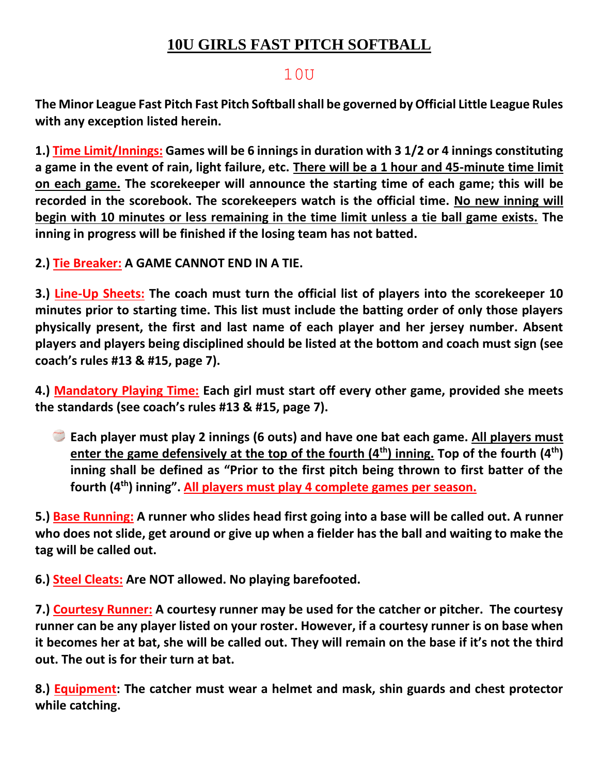## **10U GIRLS FAST PITCH SOFTBALL**

## 10U

**The Minor League Fast Pitch Fast Pitch Softball shall be governed by Official Little League Rules with any exception listed herein.** 

**1.) Time Limit/Innings: Games will be 6 innings in duration with 3 1/2 or 4 innings constituting a game in the event of rain, light failure, etc. There will be a 1 hour and 45-minute time limit on each game. The scorekeeper will announce the starting time of each game; this will be recorded in the scorebook. The scorekeepers watch is the official time. No new inning will begin with 10 minutes or less remaining in the time limit unless a tie ball game exists. The inning in progress will be finished if the losing team has not batted.** 

**2.) Tie Breaker: A GAME CANNOT END IN A TIE.** 

**3.) Line-Up Sheets: The coach must turn the official list of players into the scorekeeper 10 minutes prior to starting time. This list must include the batting order of only those players physically present, the first and last name of each player and her jersey number. Absent players and players being disciplined should be listed at the bottom and coach must sign (see coach's rules #13 & #15, page 7).** 

**4.) Mandatory Playing Time: Each girl must start off every other game, provided she meets the standards (see coach's rules #13 & #15, page 7).** 

**Each player must play 2 innings (6 outs) and have one bat each game. All players must enter the game defensively at the top of the fourth (4th) inning. Top of the fourth (4th) inning shall be defined as "Prior to the first pitch being thrown to first batter of the fourth (4th) inning". All players must play 4 complete games per season.** 

**5.) Base Running: A runner who slides head first going into a base will be called out. A runner who does not slide, get around or give up when a fielder has the ball and waiting to make the tag will be called out.**

**6.) Steel Cleats: Are NOT allowed. No playing barefooted.** 

**7.) Courtesy Runner: A courtesy runner may be used for the catcher or pitcher. The courtesy runner can be any player listed on your roster. However, if a courtesy runner is on base when it becomes her at bat, she will be called out. They will remain on the base if it's not the third out. The out is for their turn at bat.** 

**8.) Equipment: The catcher must wear a helmet and mask, shin guards and chest protector while catching.**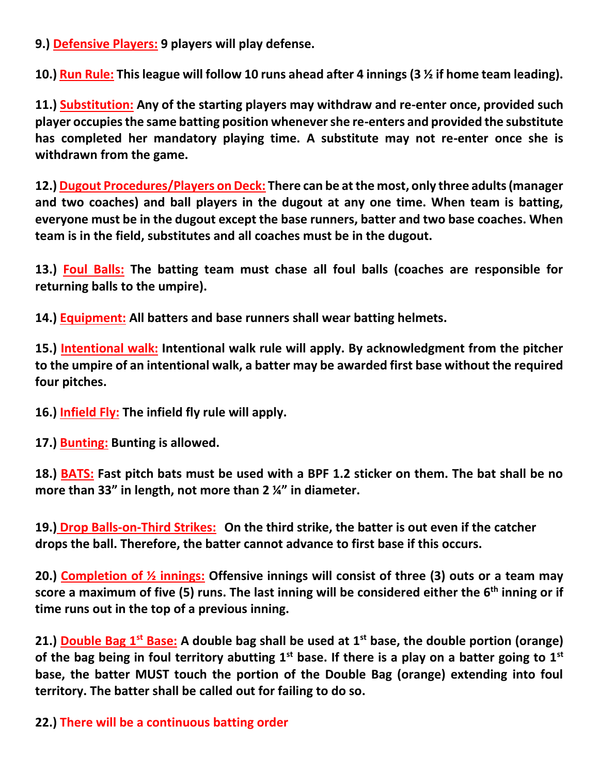**9.) Defensive Players: 9 players will play defense.** 

**10.) Run Rule: This league will follow 10 runs ahead after 4 innings (3 ½ if home team leading).** 

**11.) Substitution: Any of the starting players may withdraw and re-enter once, provided such player occupies the same batting position whenever she re-enters and provided the substitute has completed her mandatory playing time. A substitute may not re-enter once she is withdrawn from the game.** 

**12.) Dugout Procedures/Players on Deck: There can be at the most, only three adults (manager and two coaches) and ball players in the dugout at any one time. When team is batting, everyone must be in the dugout except the base runners, batter and two base coaches. When team is in the field, substitutes and all coaches must be in the dugout.** 

**13.) Foul Balls: The batting team must chase all foul balls (coaches are responsible for returning balls to the umpire).** 

**14.) Equipment: All batters and base runners shall wear batting helmets.** 

**15.) Intentional walk: Intentional walk rule will apply. By acknowledgment from the pitcher to the umpire of an intentional walk, a batter may be awarded first base without the required four pitches.** 

**16.) Infield Fly: The infield fly rule will apply.** 

**17.) Bunting: Bunting is allowed.** 

**18.) BATS: Fast pitch bats must be used with a BPF 1.2 sticker on them. The bat shall be no more than 33" in length, not more than 2 ¼" in diameter.**

**19.) Drop Balls-on-Third Strikes: On the third strike, the batter is out even if the catcher drops the ball. Therefore, the batter cannot advance to first base if this occurs.**

**20.) Completion of ½ innings: Offensive innings will consist of three (3) outs or a team may score a maximum of five (5) runs. The last inning will be considered either the 6th inning or if time runs out in the top of a previous inning.**

**21.) Double Bag 1st Base: A double bag shall be used at 1st base, the double portion (orange) of the bag being in foul territory abutting 1st base. If there is a play on a batter going to 1st base, the batter MUST touch the portion of the Double Bag (orange) extending into foul territory. The batter shall be called out for failing to do so.**

**22.) There will be a continuous batting order**